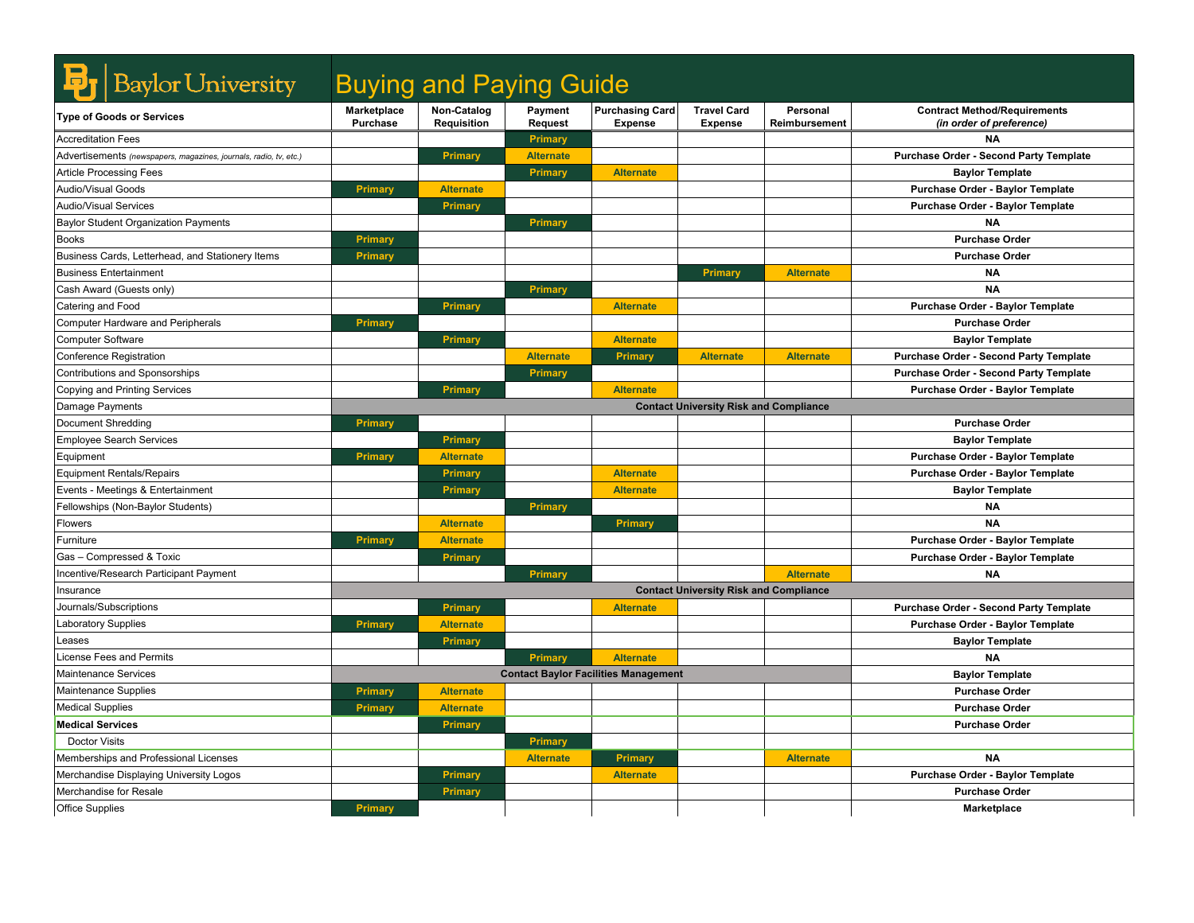| <b>Baylor University</b>                                          | <b>Buying and Paying Guide</b>        |                                   |                           |                                             |                                               |                           |                                                                 |
|-------------------------------------------------------------------|---------------------------------------|-----------------------------------|---------------------------|---------------------------------------------|-----------------------------------------------|---------------------------|-----------------------------------------------------------------|
| <b>Type of Goods or Services</b>                                  | <b>Marketplace</b><br><b>Purchase</b> | Non-Catalog<br><b>Requisition</b> | Payment<br><b>Request</b> | <b>Purchasing Card</b><br><b>Expense</b>    | <b>Travel Card</b><br><b>Expense</b>          | Personal<br>Reimbursement | <b>Contract Method/Requirements</b><br>(in order of preference) |
| <b>Accreditation Fees</b>                                         |                                       |                                   | Primary                   |                                             |                                               |                           | <b>NA</b>                                                       |
| Advertisements (newspapers, magazines, journals, radio, tv, etc.) |                                       | Primary                           | <b>Alternate</b>          |                                             |                                               |                           | Purchase Order - Second Party Template                          |
| <b>Article Processing Fees</b>                                    |                                       |                                   | Primary                   | <b>Alternate</b>                            |                                               |                           | <b>Baylor Template</b>                                          |
| Audio/Visual Goods                                                | <b>Primary</b>                        | <b>Alternate</b>                  |                           |                                             |                                               |                           | Purchase Order - Baylor Template                                |
| <b>Audio/Visual Services</b>                                      |                                       | Primary                           |                           |                                             |                                               |                           | Purchase Order - Baylor Template                                |
| <b>Baylor Student Organization Payments</b>                       |                                       |                                   | Primary                   |                                             |                                               |                           | ΝA                                                              |
| <b>Books</b>                                                      | <b>Primary</b>                        |                                   |                           |                                             |                                               |                           | <b>Purchase Order</b>                                           |
| Business Cards, Letterhead, and Stationery Items                  | <b>Primary</b>                        |                                   |                           |                                             |                                               |                           | <b>Purchase Order</b>                                           |
| <b>Business Entertainment</b>                                     |                                       |                                   |                           |                                             | Primary                                       | <b>Alternate</b>          | <b>NA</b>                                                       |
| Cash Award (Guests only)                                          |                                       |                                   | Primary                   |                                             |                                               |                           | <b>NA</b>                                                       |
| Catering and Food                                                 |                                       | Primary                           |                           | <b>Alternate</b>                            |                                               |                           | Purchase Order - Baylor Template                                |
| <b>Computer Hardware and Peripherals</b>                          | <b>Primary</b>                        |                                   |                           |                                             |                                               |                           | <b>Purchase Order</b>                                           |
| <b>Computer Software</b>                                          |                                       | Primary                           |                           | <b>Alternate</b>                            |                                               |                           | <b>Baylor Template</b>                                          |
| Conference Registration                                           |                                       |                                   | <b>Alternate</b>          | Primary                                     | <b>Alternate</b>                              | <b>Alternate</b>          | <b>Purchase Order - Second Party Template</b>                   |
| Contributions and Sponsorships                                    |                                       |                                   | <b>Primary</b>            |                                             |                                               |                           | Purchase Order - Second Party Template                          |
| Copying and Printing Services                                     |                                       | Primary                           |                           | <b>Alternate</b>                            |                                               |                           | Purchase Order - Baylor Template                                |
| Damage Payments                                                   |                                       |                                   |                           |                                             | <b>Contact University Risk and Compliance</b> |                           |                                                                 |
| <b>Document Shredding</b>                                         | Primary                               |                                   |                           |                                             |                                               |                           | <b>Purchase Order</b>                                           |
| <b>Employee Search Services</b>                                   |                                       | Primary                           |                           |                                             |                                               |                           | <b>Baylor Template</b>                                          |
| Equipment                                                         | Primary                               | <b>Alternate</b>                  |                           |                                             |                                               |                           | Purchase Order - Baylor Template                                |
| <b>Equipment Rentals/Repairs</b>                                  |                                       | Primary                           |                           | <b>Alternate</b>                            |                                               |                           | Purchase Order - Baylor Template                                |
| Events - Meetings & Entertainment                                 |                                       | Primary                           |                           | <b>Alternate</b>                            |                                               |                           | <b>Baylor Template</b>                                          |
| Fellowships (Non-Baylor Students)                                 |                                       |                                   | Primary                   |                                             |                                               |                           | <b>NA</b>                                                       |
| <b>Flowers</b>                                                    |                                       | <b>Alternate</b>                  |                           | Primary                                     |                                               |                           | <b>NA</b>                                                       |
| Furniture                                                         | Primary                               | <b>Alternate</b>                  |                           |                                             |                                               |                           | Purchase Order - Baylor Template                                |
| Gas - Compressed & Toxic                                          |                                       | Primary                           |                           |                                             |                                               |                           | Purchase Order - Baylor Template                                |
| Incentive/Research Participant Payment                            |                                       |                                   | Primary                   |                                             |                                               | <b>Alternate</b>          | <b>NA</b>                                                       |
| Insurance                                                         |                                       |                                   |                           |                                             | <b>Contact University Risk and Compliance</b> |                           |                                                                 |
| Journals/Subscriptions                                            |                                       | Primary                           |                           | <b>Alternate</b>                            |                                               |                           | <b>Purchase Order - Second Party Template</b>                   |
| <b>Laboratory Supplies</b>                                        | Primary                               | <b>Alternate</b>                  |                           |                                             |                                               |                           | Purchase Order - Baylor Template                                |
| Leases                                                            |                                       | Primary                           |                           |                                             |                                               |                           | <b>Baylor Template</b>                                          |
| <b>License Fees and Permits</b>                                   |                                       |                                   | Primary                   | <b>Alternate</b>                            |                                               |                           | <b>NA</b>                                                       |
| <b>Maintenance Services</b>                                       |                                       |                                   |                           | <b>Contact Baylor Facilities Management</b> |                                               |                           | <b>Baylor Template</b>                                          |
| Maintenance Supplies                                              | <b>Primary</b>                        | <b>Alternate</b>                  |                           |                                             |                                               |                           | <b>Purchase Order</b>                                           |
| <b>Medical Supplies</b>                                           | <b>Primary</b>                        | <b>Alternate</b>                  |                           |                                             |                                               |                           | <b>Purchase Order</b>                                           |
| <b>Medical Services</b>                                           |                                       | Primary                           |                           |                                             |                                               |                           | <b>Purchase Order</b>                                           |
| <b>Doctor Visits</b>                                              |                                       |                                   | Primary                   |                                             |                                               |                           |                                                                 |
| Memberships and Professional Licenses                             |                                       |                                   | <b>Alternate</b>          | Primary                                     |                                               | <b>Alternate</b>          | <b>NA</b>                                                       |
| Merchandise Displaying University Logos                           |                                       | Primary                           |                           | <b>Alternate</b>                            |                                               |                           | Purchase Order - Baylor Template                                |
| Merchandise for Resale                                            |                                       | Primary                           |                           |                                             |                                               |                           | <b>Purchase Order</b>                                           |
| <b>Office Supplies</b>                                            | <b>Primary</b>                        |                                   |                           |                                             |                                               |                           | <b>Marketplace</b>                                              |